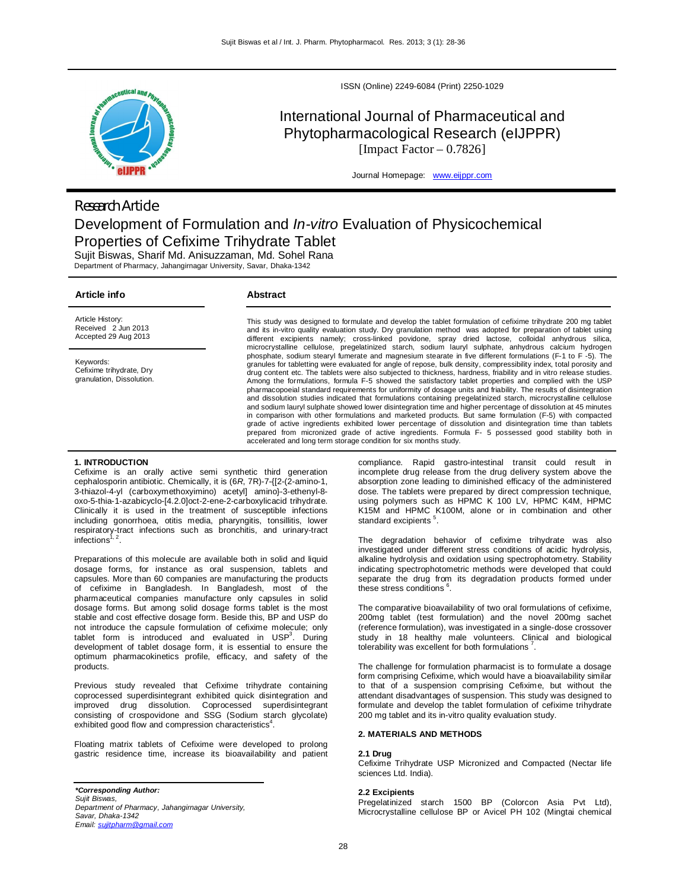

ISSN (Online) 2249-6084 (Print) 2250-1029

# International Journal of Pharmaceutical and Phytopharmacological Research (eIJPPR) [Impact Factor  $-0.7826$ ]

Journal Homepage: www.eijppr.com

# *Research Article* Development of Formulation and *In-vitro* Evaluation of Physicochemical Properties of Cefixime Trihydrate Tablet Sujit Biswas, Sharif Md. Anisuzzaman, Md. Sohel Rana

Department of Pharmacy, Jahangirnagar University, Savar, Dhaka-1342

# **Article info**

# **Abstract**

Article History: Received 2 Jun 2013 Accepted 29 Aug 2013

Keywords: Cefixime trihydrate, Dry granulation, Dissolution.

This study was designed to formulate and develop the tablet formulation of cefixime trihydrate 200 mg tablet and its in-vitro quality evaluation study. Dry granulation method was adopted for preparation of tablet using different excipients namely; cross-linked povidone, spray dried lactose, colloidal anhydrous silica, microcrystalline cellulose, pregelatinized starch, sodium lauryl sulphate, anhydrous calcium hydrogen phosphate, sodium stearyl fumerate and magnesium stearate in five different formulations (F-1 to F -5). The granules for tabletting were evaluated for angle of repose, bulk density, compressibility index, total porosity and drug content etc. The tablets were also subjected to thickness, hardness, friability and in vitro release studies. Among the formulations, formula F-5 showed the satisfactory tablet properties and complied with the USP pharmacopoeial standard requirements for uniformity of dosage units and friability. The results of disintegration and dissolution studies indicated that formulations containing pregelatinized starch, microcrystalline cellulose and sodium lauryl sulphate showed lower disintegration time and higher percentage of dissolution at 45 minutes in comparison with other formulations and marketed products. But same formulation (F-5) with compacted grade of active ingredients exhibited lower percentage of dissolution and disintegration time than tablets prepared from micronized grade of active ingredients. Formula F- 5 possessed good stability both in accelerated and long term storage condition for six months study.

## **1. INTRODUCTION**

Cefixime is an orally active semi synthetic third generation cephalosporin antibiotic. Chemically, it is (6*R*, 7R)-7-{[2-(2-amino-1, 3-thiazol-4-yl (carboxymethoxyimino) acetyl] amino}-3-ethenyl-8 oxo-5-thia-1-azabicyclo-[4.2.0]oct-2-ene-2-carboxylicacid trihydrate. Clinically it is used in the treatment of susceptible infections including gonorrhoea, otitis media, pharyngitis, tonsillitis, lower respiratory-tract infections such as bronchitis, and urinary-tract infections .

Preparations of this molecule are available both in solid and liquid dosage forms, for instance as oral suspension, tablets and capsules. More than 60 companies are manufacturing the products of cefixime in Bangladesh. In Bangladesh, most of the pharmaceutical companies manufacture only capsules in solid dosage forms. But among solid dosage forms tablet is the most stable and cost effective dosage form. Beside this, BP and USP do not introduce the capsule formulation of cefixime molecule; only tablet form is introduced and evaluated in  $USP<sup>3</sup>$ . During development of tablet dosage form, it is essential to ensure the optimum pharmacokinetics profile, efficacy, and safety of the products.

Previous study revealed that Cefixime trihydrate containing coprocessed superdisintegrant exhibited quick disintegration and<br>improved drug dissolution. Coprocessed superdisintegrant Coprocessed superdisintegrant consisting of crospovidone and SSG (Sodium starch glycolate) exhibited good flow and compression characteristics $4$ .

Floating matrix tablets of Cefixime were developed to prolong gastric residence time, increase its bioavailability and patient

*\*Corresponding Author: Sujit Biswas, Department of Pharmacy, Jahangirnagar University, Savar, Dhaka-1342 Email: sujitpharm@gmail.com*

compliance. Rapid gastro-intestinal transit could result in incomplete drug release from the drug delivery system above the absorption zone leading to diminished efficacy of the administered dose. The tablets were prepared by direct compression technique, using polymers such as HPMC K 100 LV, HPMC K4M, HPMC K15M and HPMC K100M, alone or in combination and other standard excipients .

The degradation behavior of cefixime trihydrate was also investigated under different stress conditions of acidic hydrolysis, alkaline hydrolysis and oxidation using spectrophotometry. Stability indicating spectrophotometric methods were developed that could separate the drug from its degradation products formed under these stress conditions <sup>6</sup>.

The comparative bioavailability of two oral formulations of cefixime, 200mg tablet (test formulation) and the novel 200mg sachet (reference formulation), was investigated in a single-dose crossover study in 18 healthy male volunteers. Clinical and biological tolerability was excellent for both formulations<sup>7</sup>.

The challenge for formulation pharmacist is to formulate a dosage form comprising Cefixime, which would have a bioavailability similar to that of a suspension comprising Cefixime, but without the attendant disadvantages of suspension. This study was designed to formulate and develop the tablet formulation of cefixime trihydrate 200 mg tablet and its in-vitro quality evaluation study.

#### **2. MATERIALS AND METHODS**

## **2.1 Drug**

Cefixime Trihydrate USP Micronized and Compacted (Nectar life sciences Ltd. India).

#### **2.2 Excipients**

Pregelatinized starch 1500 BP (Colorcon Asia Pvt Ltd), Microcrystalline cellulose BP or Avicel PH 102 (Mingtai chemical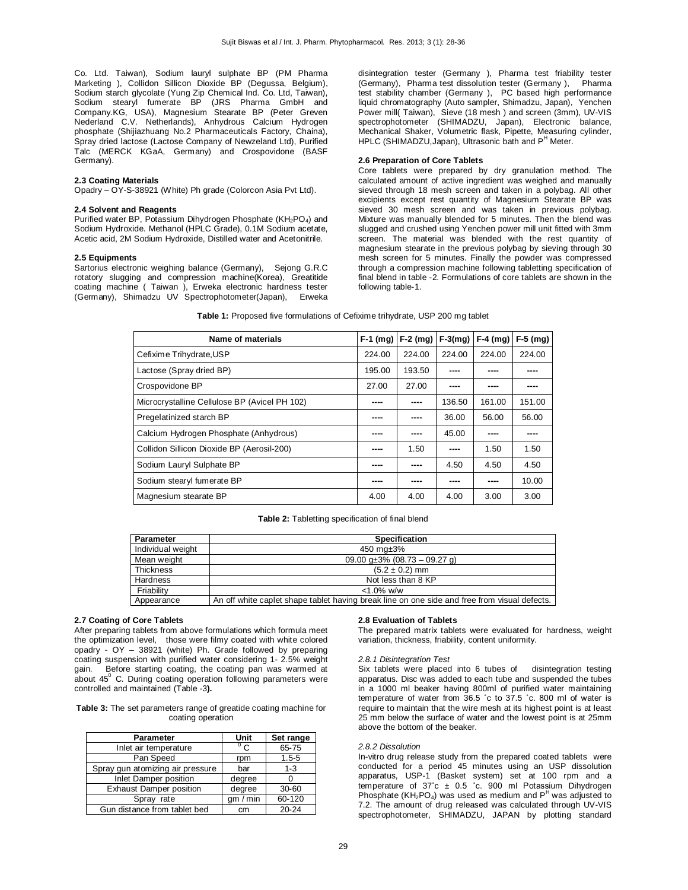Co. Ltd. Taiwan), Sodium lauryl sulphate BP (PM Pharma Marketing ), Collidon Sillicon Dioxide BP (Degussa, Belgium), Sodium starch glycolate (Yung Zip Chemical Ind. Co. Ltd, Taiwan), Sodium stearyl fumerate BP (JRS Pharma GmbH and Company.KG, USA), Magnesium Stearate BP (Peter Greven Nederland C.V. Netherlands), Anhydrous Calcium Hydrogen phosphate (Shijiazhuang No.2 Pharmaceuticals Factory, Chaina), Spray dried lactose (Lactose Company of Newzeland Ltd), Purified Talc (MERCK KGaA, Germany) and Crospovidone (BASF Germany).

## **2.3 Coating Materials**

Opadry – OY-S-38921 (White) Ph grade (Colorcon Asia Pvt Ltd).

## **2.4 Solvent and Reagents**

Purified water BP, Potassium Dihydrogen Phosphate (KH<sub>2</sub>PO<sub>4</sub>) and Sodium Hydroxide. Methanol (HPLC Grade), 0.1M Sodium acetate, Acetic acid, 2M Sodium Hydroxide, Distilled water and Acetonitrile.

#### **2.5 Equipments**

Sartorius electronic weighing balance (Germany), Sejong G.R.C rotatory slugging and compression machine(Korea), Greatitide coating machine ( Taiwan ), Erweka electronic hardness tester (Germany), Shimadzu UV Spectrophotometer(Japan), Erweka disintegration tester (Germany ), Pharma test friability tester (Germany), Pharma test dissolution tester (Germany ), Pharma test stability chamber (Germany ), PC based high performance liquid chromatography (Auto sampler, Shimadzu, Japan), Yenchen Power mill( Taiwan), Sieve (18 mesh ) and screen (3mm), UV-VIS spectrophotometer (SHIMADZU, Japan), Electronic balance, Mechanical Shaker, Volumetric flask, Pipette, Measuring cylinder, HPLC (SHIMADZU, Japan), Ultrasonic bath and P<sup>H</sup> Meter.

## **2.6 Preparation of Core Tablets**

Core tablets were prepared by dry granulation method. The calculated amount of active ingredient was weighed and manually sieved through 18 mesh screen and taken in a polybag. All other excipients except rest quantity of Magnesium Stearate BP was sieved 30 mesh screen and was taken in previous polybag. Mixture was manually blended for 5 minutes. Then the blend was slugged and crushed using Yenchen power mill unit fitted with 3mm screen. The material was blended with the rest quantity of magnesium stearate in the previous polybag by sieving through 30 mesh screen for 5 minutes. Finally the powder was compressed through a compression machine following tabletting specification of final blend in table -2. Formulations of core tablets are shown in the following table-1.

|  | Table 1: Proposed five formulations of Cefixime trihydrate, USP 200 mg tablet |  |  |  |  |
|--|-------------------------------------------------------------------------------|--|--|--|--|
|--|-------------------------------------------------------------------------------|--|--|--|--|

| Name of materials                             | $F-1$ (mg) | $F-2$ (mg) | $F-3$ (mg) | $F-4$ (mg) | $F-5$ (mg) |
|-----------------------------------------------|------------|------------|------------|------------|------------|
| Cefixime Trihydrate, USP                      | 224.00     | 224.00     | 224.00     | 224.00     | 224.00     |
| Lactose (Spray dried BP)                      | 195.00     | 193.50     |            |            |            |
| Crospovidone BP                               | 27.00      | 27.00      | ----       | ----       | ----       |
| Microcrystalline Cellulose BP (Avicel PH 102) | ----       | ----       | 136.50     | 161.00     | 151.00     |
| Pregelatinized starch BP                      | ----       | ----       | 36.00      | 56.00      | 56.00      |
| Calcium Hydrogen Phosphate (Anhydrous)        | ----       | ----       | 45.00      | ----       | ----       |
| Collidon Sillicon Dioxide BP (Aerosil-200)    | ----       | 1.50       |            | 1.50       | 1.50       |
| Sodium Lauryl Sulphate BP                     | ----       | ----       | 4.50       | 4.50       | 4.50       |
| Sodium stearyl fumerate BP                    | ----       | ----       |            | ----       | 10.00      |
| Magnesium stearate BP                         | 4.00       | 4.00       | 4.00       | 3.00       | 3.00       |

|  |  | Table 2: Tabletting specification of final blend |  |  |  |
|--|--|--------------------------------------------------|--|--|--|
|--|--|--------------------------------------------------|--|--|--|

| Parameter         | <b>Specification</b>                                                                         |
|-------------------|----------------------------------------------------------------------------------------------|
| Individual weight | 450 mg±3%                                                                                    |
| Mean weight       | 09.00 $q\pm3\%$ (08.73 - 09.27 q)                                                            |
| Thickness         | $(5.2 \pm 0.2)$ mm                                                                           |
| Hardness          | Not less than 8 KP                                                                           |
| Friability        | $<$ 1.0% w/w                                                                                 |
| Appearance        | An off white caplet shape tablet having break line on one side and free from visual defects. |

## **2.7 Coating of Core Tablets**

After preparing tablets from above formulations which formula meet the optimization level, those were filmy coated with white colored opadry - OY – 38921 (white) Ph. Grade followed by preparing coating suspension with purified water considering 1- 2.5% weight gain. Before starting coating, the coating pan was warmed at about  $45^\circ$  C. During coating operation following parameters were controlled and maintained (Table -3**).**

#### **Table 3:** The set parameters range of greatide coating machine for coating operation

| <b>Parameter</b>                 | Unit          | Set range |
|----------------------------------|---------------|-----------|
| Inlet air temperature            | $^{\circ}$ C. | 65-75     |
| Pan Speed                        | rpm           | $1.5 - 5$ |
| Spray gun atomizing air pressure | bar           | $1 - 3$   |
| Inlet Damper position            | degree        |           |
| <b>Exhaust Damper position</b>   | degree        | $30 - 60$ |
| Spray<br>rate                    | am/min        | 60-120    |
| Gun distance from tablet bed     | cm            | $20 - 24$ |

## **2.8 Evaluation of Tablets**

The prepared matrix tablets were evaluated for hardness, weight variation, thickness, friability, content uniformity.

## *2.8.1 Disintegration Test*

Six tablets were placed into 6 tubes of disintegration testing apparatus. Disc was added to each tube and suspended the tubes in a 1000 ml beaker having 800ml of purified water maintaining temperature of water from 36.5 ˚c to 37.5 ˚c. 800 ml of water is require to maintain that the wire mesh at its highest point is at least 25 mm below the surface of water and the lowest point is at 25mm above the bottom of the beaker.

#### *2.8.2 Dissolution*

In-vitro drug release study from the prepared coated tablets were conducted for a period 45 minutes using an USP dissolution apparatus, USP-1 (Basket system) set at 100 rpm and a temperature of 37˚c ± 0.5 ˚c. 900 ml Potassium Dihydrogen Phosphate (KH<sub>2</sub>PO<sub>4</sub>) was used as medium and  $P<sup>H</sup>$  was adjusted to 7.2. The amount of drug released was calculated through UV-VIS spectrophotometer, SHIMADZU, JAPAN by plotting standard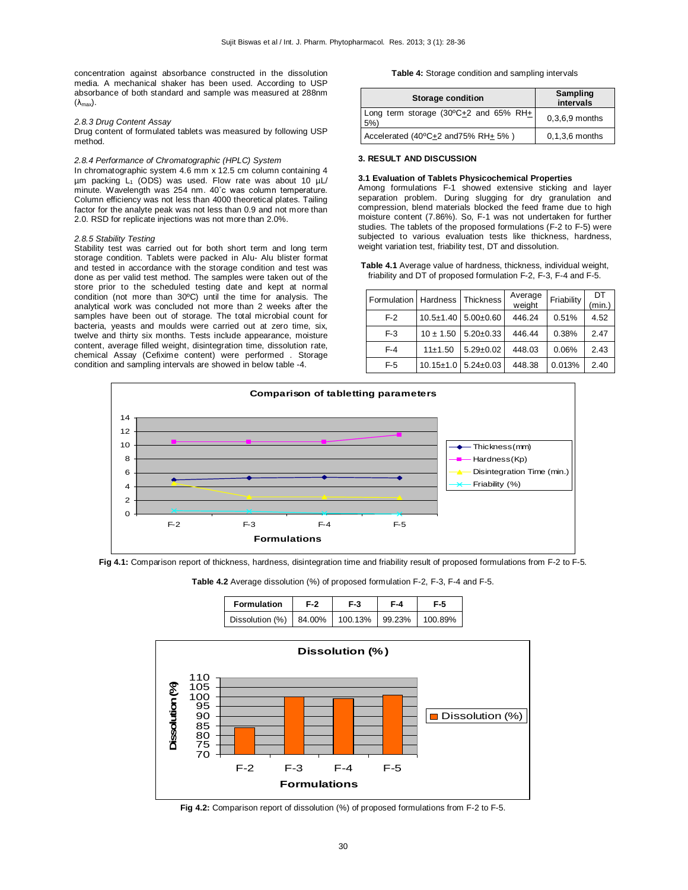concentration against absorbance constructed in the dissolution media. A mechanical shaker has been used. According to USP absorbance of both standard and sample was measured at 288nm  $(\lambda_{\text{max}})$ .

#### *2.8.3 Drug Content Assay*

Drug content of formulated tablets was measured by following USP method.

## *2.8.4 Performance of Chromatographic (HPLC) System*

In chromatographic system 4.6 mm x 12.5 cm column containing 4  $\mu$ m packing L<sub>1</sub> (ODS) was used. Flow rate was about 10  $\mu$ L/ minute. Wavelength was 254 nm. 40˚c was column temperature. Column efficiency was not less than 4000 theoretical plates. Tailing factor for the analyte peak was not less than 0.9 and not more than 2.0. RSD for replicate injections was not more than 2.0%.

#### *2.8.5 Stability Testing*

Stability test was carried out for both short term and long term storage condition. Tablets were packed in Alu- Alu blister format and tested in accordance with the storage condition and test was done as per valid test method. The samples were taken out of the store prior to the scheduled testing date and kept at normal condition (not more than 30ºC) until the time for analysis. The analytical work was concluded not more than 2 weeks after the samples have been out of storage. The total microbial count for bacteria, yeasts and moulds were carried out at zero time, six, twelve and thirty six months. Tests include appearance, moisture content, average filled weight, disintegration time, dissolution rate, chemical Assay (Cefixime content) were performed . Storage condition and sampling intervals are showed in below table -4.

## **Table 4:** Storage condition and sampling intervals

| <b>Storage condition</b>                                 | Sampling<br>intervals |
|----------------------------------------------------------|-----------------------|
| Long term storage (30°C $\pm$ 2 and 65% RH $\pm$ )<br>5% | $0.3.6.9$ months      |
| Accelerated (40°C+2 and 75% RH+ 5%)                      | $0, 1, 3, 6$ months   |

#### **3. RESULT AND DISCUSSION**

## **3.1 Evaluation of Tablets Physicochemical Properties**

Among formulations F-1 showed extensive sticking and layer separation problem. During slugging for dry granulation and compression, blend materials blocked the feed frame due to high moisture content (7.86%). So, F-1 was not undertaken for further studies. The tablets of the proposed formulations (F-2 to F-5) were subjected to various evaluation tests like thickness, hardness, weight variation test, friability test, DT and dissolution.

**Table 4.1** Average value of hardness, thickness, individual weight, friability and DT of proposed formulation F-2, F-3, F-4 and F-5.

| <b>Formulation   Hardness</b> |                 | <b>Thickness</b>                | Average<br>weight | Friability | DT<br>min.) |
|-------------------------------|-----------------|---------------------------------|-------------------|------------|-------------|
| $F-2$                         |                 | $10.5 \pm 1.40$ 5.00 $\pm 0.60$ | 446.24            | 0.51%      | 4.52        |
| $F-3$                         | $10 \pm 1.50$   | $5.20 \pm 0.33$                 | 446.44            | 0.38%      | 2.47        |
| $F-4$                         | 11±1.50         | $5.29 \pm 0.02$                 | 448.03            | 0.06%      | 2.43        |
| $F-5$                         | $10.15 \pm 1.0$ | $5.24 \pm 0.03$                 | 448.38            | 0.013%     | 2.40        |





**Table 4.2** Average dissolution (%) of proposed formulation F-2, F-3, F-4 and F-5.

| <b>Formulation</b>        | $F-2$ | F 3.    | F-4    | F-5.    |
|---------------------------|-------|---------|--------|---------|
| Dissolution $(%$ ) 84.00% |       | 100.13% | 99.23% | 100.89% |



**Fig 4.2:** Comparison report of dissolution (%) of proposed formulations from F-2 to F-5.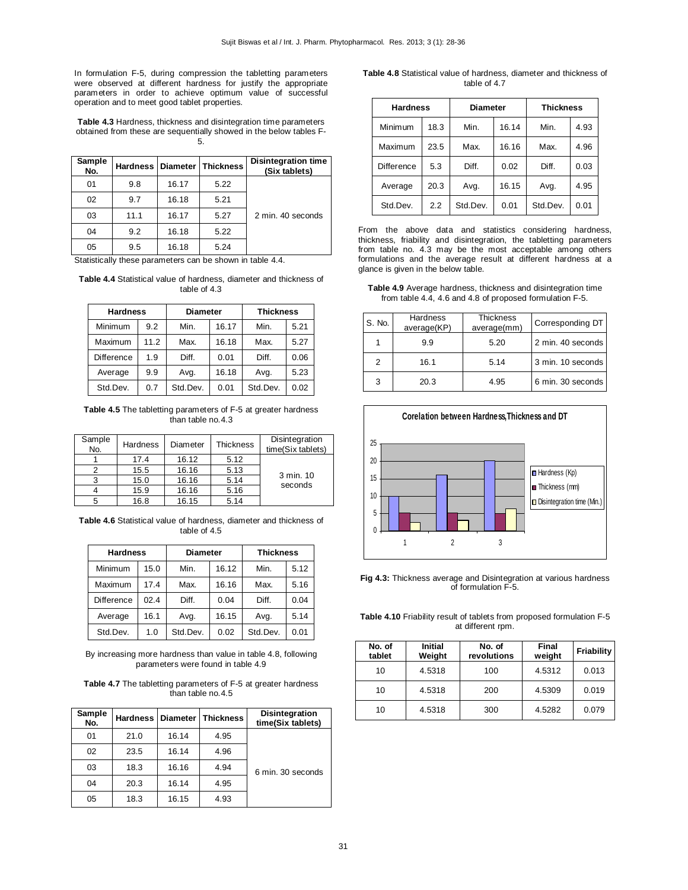In formulation F-5, during compression the tabletting parameters were observed at different hardness for justify the appropriate parameters in order to achieve optimum value of successful operation and to meet good tablet properties.

**Table 4.3** Hardness, thickness and disintegration time parameters obtained from these are sequentially showed in the below tables F-5.

| Sample<br>No. |      |       | <b>Hardness   Diameter   Thickness</b> | <b>Disintegration time</b><br>(Six tablets) |
|---------------|------|-------|----------------------------------------|---------------------------------------------|
| 01            | 9.8  | 16.17 | 5.22                                   |                                             |
| 02            | 9.7  | 16.18 | 5.21                                   |                                             |
| 03            | 11.1 | 16.17 | 5.27                                   | 2 min. 40 seconds                           |
| 04            | 9.2  | 16.18 | 5.22                                   |                                             |
| 05            | 9.5  | 16.18 | 5.24                                   |                                             |

Statistically these parameters can be shown in table 4.4.

**Table 4.4** Statistical value of hardness, diameter and thickness of table of 4.3

| <b>Hardness</b>   |      | <b>Diameter</b> |       | <b>Thickness</b> |      |  |
|-------------------|------|-----------------|-------|------------------|------|--|
| Minimum           | 9.2  | Min.            | 16.17 | Min.             | 5.21 |  |
| Maximum           | 11.2 | Max.            | 16.18 | Max.             | 5.27 |  |
| <b>Difference</b> | 1.9  | Diff.           | 0.01  | Diff.            | 0.06 |  |
| Average           | 9.9  | Avg.            | 16.18 | Avg.             | 5.23 |  |
| Std.Dev.          | 0.7  | Std.Dev.        | 0.01  | Std.Dev.         | 0.02 |  |

**Table 4.5** The tabletting parameters of F-5 at greater hardness than table no.4.3

| Sample<br>No. | Hardness | Diameter | <b>Thickness</b> | Disintegration<br>time(Six tablets) |
|---------------|----------|----------|------------------|-------------------------------------|
|               | 17.4     | 16.12    | 5.12             |                                     |
| 2             | 15.5     | 16.16    | 5.13             |                                     |
| 3             | 15.0     | 16.16    | 5.14             | 3 min. 10<br>seconds                |
|               | 15.9     | 16.16    | 5.16             |                                     |
|               | 16.8     | 16.15    | 5.14             |                                     |

**Table 4.6** Statistical value of hardness, diameter and thickness of table of 4.5

| <b>Hardness</b>   |      | <b>Diameter</b> |       | <b>Thickness</b> |      |  |
|-------------------|------|-----------------|-------|------------------|------|--|
| Minimum           | 15.0 | Min.            | 16.12 | Min.             | 5.12 |  |
| Maximum           | 17.4 | Max.            | 16.16 | Max.             | 5.16 |  |
| <b>Difference</b> | 02.4 | Diff.           | 0.04  | Diff.            | 0.04 |  |
| Average           | 16.1 | Avg.            | 16.15 | Avg.             | 5.14 |  |
| Std.Dev.          | 1.0  | Std.Dev.        | 0.02  | Std.Dev.         | 0.01 |  |

By increasing more hardness than value in table 4.8, following parameters were found in table 4.9

**Table 4.7** The tabletting parameters of F-5 at greater hardness than table no.4.5

| Sample<br>No. | <b>Hardness   Diameter</b> |       | <b>Thickness</b> | <b>Disintegration</b><br>time(Six tablets) |
|---------------|----------------------------|-------|------------------|--------------------------------------------|
| 01            | 21.0                       | 16.14 | 4.95             |                                            |
| 02            | 23.5                       | 16.14 | 4.96             |                                            |
| 03            | 18.3                       | 16.16 | 4.94             | 6 min. 30 seconds                          |
| 04            | 20.3                       | 16.14 | 4.95             |                                            |
| 05            | 18.3                       | 16.15 | 4.93             |                                            |

**Table 4.8** Statistical value of hardness, diameter and thickness of table of 4.7

| <b>Hardness</b>   |      | <b>Diameter</b> |       | <b>Thickness</b> |      |
|-------------------|------|-----------------|-------|------------------|------|
| Minimum           | 18.3 | Min.            | 16.14 | Min.             | 4.93 |
| Maximum           | 23.5 | Max.            | 16.16 | Max.             | 4.96 |
| <b>Difference</b> | 5.3  | Diff.           | 0.02  | Diff.            | 0.03 |
| Average           | 20.3 | Avg.            | 16.15 | Avg.             | 4.95 |
| Std.Dev.          | 2.2  | Std.Dev.        | 0.01  | Std.Dev.         | 0.01 |

From the above data and statistics considering hardness, thickness, friability and disintegration, the tabletting parameters from table no. 4.3 may be the most acceptable among others formulations and the average result at different hardness at a glance is given in the below table.

**Table 4.9** Average hardness, thickness and disintegration time from table 4.4, 4.6 and 4.8 of proposed formulation F-5.

| S. No. | <b>Hardness</b><br>average(KP) | <b>Thickness</b><br>average(mm) | Corresponding DT  |
|--------|--------------------------------|---------------------------------|-------------------|
|        | 9.9                            | 5.20                            | 2 min. 40 seconds |
| 2      | 16.1                           | 5.14                            | 3 min. 10 seconds |
| 3      | 20.3                           | 4.95                            | 6 min. 30 seconds |



**Fig 4.3:** Thickness average and Disintegration at various hardness of formulation F-5.

**Table 4.10** Friability result of tablets from proposed formulation F-5 at different rpm.

| No. of<br>tablet | <b>Initial</b><br>Weight | No. of<br>revolutions | Final<br>weight | Friability |
|------------------|--------------------------|-----------------------|-----------------|------------|
| 10               | 4.5318                   | 100                   | 4.5312          | 0.013      |
| 10               | 4.5318                   | 200                   | 4.5309          | 0.019      |
| 10               | 4.5318                   | 300                   | 4.5282          | 0.079      |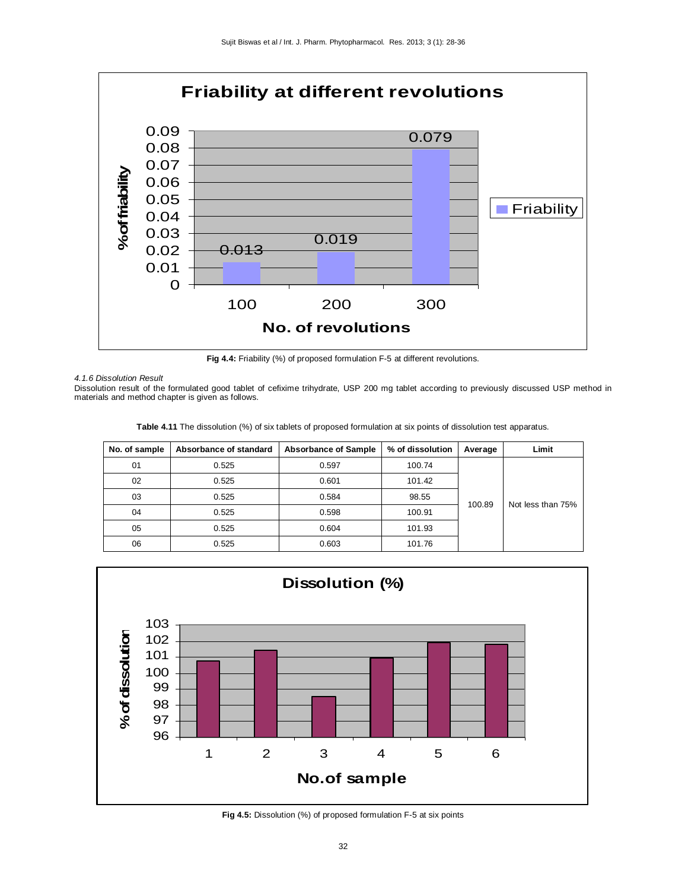

**Fig 4.4:** Friability (%) of proposed formulation F-5 at different revolutions.

#### *4.1.6 Dissolution Result*

Dissolution result of the formulated good tablet of cefixime trihydrate, USP 200 mg tablet according to previously discussed USP method in materials and method chapter is given as follows.

**Table 4.11** The dissolution (%) of six tablets of proposed formulation at six points of dissolution test apparatus.

| No. of sample | Absorbance of standard | <b>Absorbance of Sample</b> | % of dissolution | Average | Limit             |
|---------------|------------------------|-----------------------------|------------------|---------|-------------------|
| 01            | 0.525                  | 0.597                       | 100.74           |         |                   |
| 02            | 0.525                  | 0.601                       | 101.42           |         |                   |
| 03            | 0.525                  | 0.584                       | 98.55            | 100.89  | Not less than 75% |
| 04            | 0.525                  | 0.598                       | 100.91           |         |                   |
| 05            | 0.525                  | 0.604                       | 101.93           |         |                   |
| 06            | 0.525                  | 0.603                       | 101.76           |         |                   |



**Fig 4.5:** Dissolution (%) of proposed formulation F-5 at six points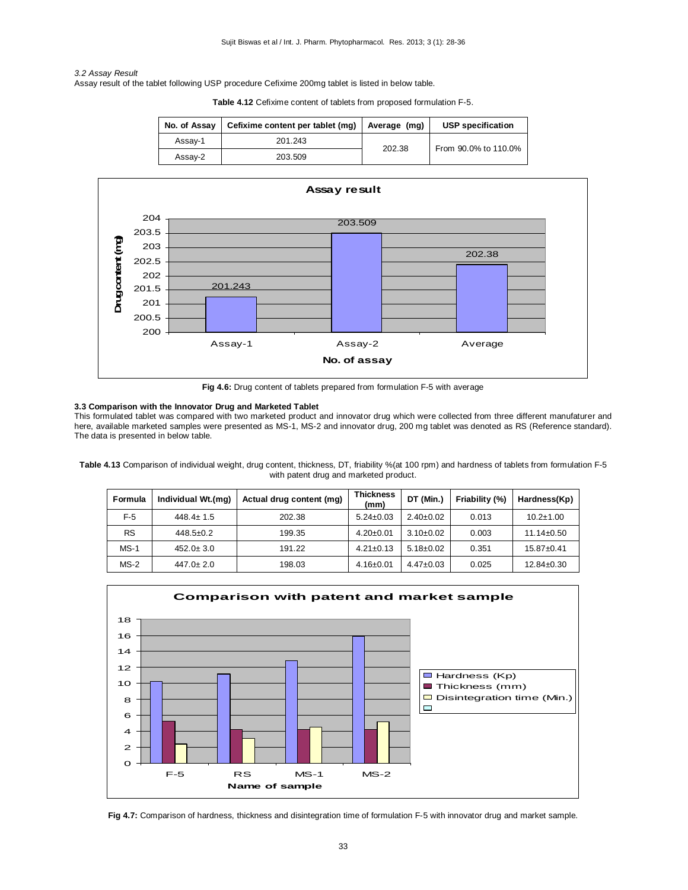## *3.2 Assay Result*

Assay result of the tablet following USP procedure Cefixime 200mg tablet is listed in below table.

**Table 4.12** Cefixime content of tablets from proposed formulation F-5.

| No. of Assav | Cefixime content per tablet (mq) | Average (mg) | <b>USP specification</b> |
|--------------|----------------------------------|--------------|--------------------------|
| Assay-1      | 201.243                          |              | From 90.0% to 110.0%     |
| Assay-2      | 203.509                          | 202.38       |                          |



**Fig 4.6:** Drug content of tablets prepared from formulation F-5 with average

# **3.3 Comparison with the Innovator Drug and Marketed Tablet**

This formulated tablet was compared with two marketed product and innovator drug which were collected from three different manufaturer and here, available marketed samples were presented as MS-1, MS-2 and innovator drug, 200 mg tablet was denoted as RS (Reference standard). The data is presented in below table.

**Table 4.13** Comparison of individual weight, drug content, thickness, DT, friability %(at 100 rpm) and hardness of tablets from formulation F-5 with patent drug and marketed product.

| Formula   | Individual Wt.(mg) | Actual drug content (mg) | <b>Thickness</b><br>(mm) | DT (Min.)       | Friability (%) | Hardness(Kp)     |
|-----------|--------------------|--------------------------|--------------------------|-----------------|----------------|------------------|
| F-5       | $448.4 \pm 1.5$    | 202.38                   | $5.24 \pm 0.03$          | $2.40 \pm 0.02$ | 0.013          | $10.2 \pm 1.00$  |
| <b>RS</b> | $448.5 \pm 0.2$    | 199.35                   | $4.20 \pm 0.01$          | $3.10 \pm 0.02$ | 0.003          | $11.14 \pm 0.50$ |
| $MS-1$    | $452.0 \pm 3.0$    | 191.22                   | $4.21 \pm 0.13$          | $5.18 \pm 0.02$ | 0.351          | $15.87 \pm 0.41$ |
| $MS-2$    | $447.0 \pm 2.0$    | 198.03                   | $4.16 \pm 0.01$          | $4.47 \pm 0.03$ | 0.025          | $12.84 \pm 0.30$ |



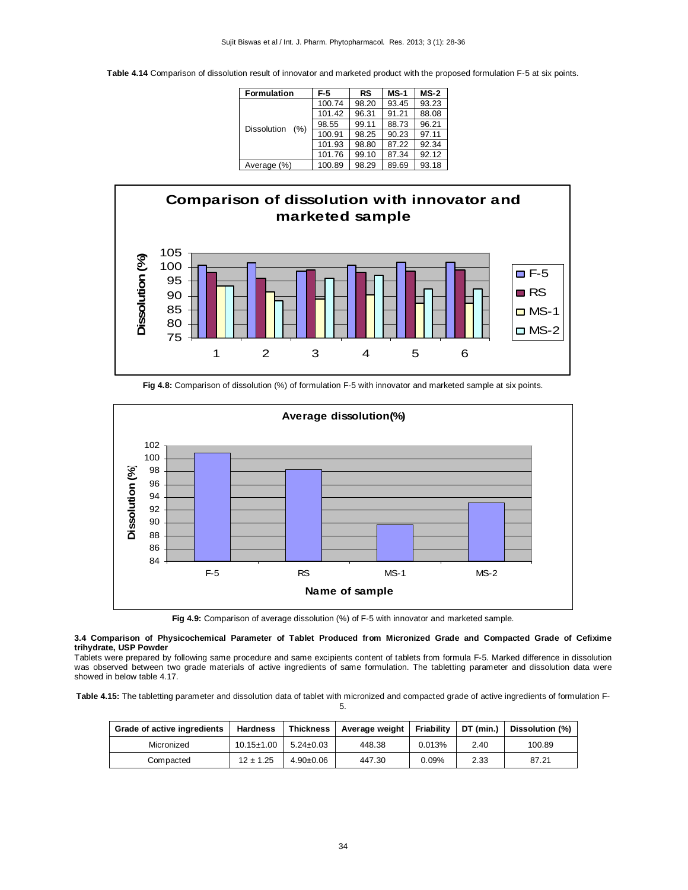**Table 4.14** Comparison of dissolution result of innovator and marketed product with the proposed formulation F-5 at six points.

| <b>Formulation</b> | F-5    | RS    | $MS-1$ | <b>MS-2</b> |
|--------------------|--------|-------|--------|-------------|
|                    | 100.74 | 98.20 | 93.45  | 93.23       |
|                    | 101.42 | 96.31 | 91.21  | 88.08       |
|                    | 98.55  | 99.11 | 88.73  | 96.21       |
| Dissolution<br>(%) | 100.91 | 98.25 | 90.23  | 97.11       |
|                    | 101.93 | 98.80 | 87.22  | 92.34       |
|                    | 101.76 | 99.10 | 87.34  | 92.12       |
| Average (%)        | 100.89 | 98.29 | 89.69  | 93.18       |



**Fig 4.8:** Comparison of dissolution (%) of formulation F-5 with innovator and marketed sample at six points.



**Fig 4.9:** Comparison of average dissolution (%) of F-5 with innovator and marketed sample.

## **3.4 Comparison of Physicochemical Parameter of Tablet Produced from Micronized Grade and Compacted Grade of Cefixime trihydrate, USP Powder**

Tablets were prepared by following same procedure and same excipients content of tablets from formula F-5. Marked difference in dissolution was observed between two grade materials of active ingredients of same formulation. The tabletting parameter and dissolution data were showed in below table 4.17.

**Table 4.15:** The tabletting parameter and dissolution data of tablet with micronized and compacted grade of active ingredients of formulation F-5.

| Grade of active ingredients | <b>Hardness</b>  | <b>Thickness</b> | Average weight | Friability | DT (min.) | Dissolution (%) |
|-----------------------------|------------------|------------------|----------------|------------|-----------|-----------------|
| Micronized                  | $10.15 \pm 1.00$ | $5.24 \pm 0.03$  | 448.38         | 0.013%     | 2.40      | 100.89          |
| Compacted                   | $12 \pm 1.25$    | $4.90 \pm 0.06$  | 447.30         | 0.09%      | 2.33      | 87.21           |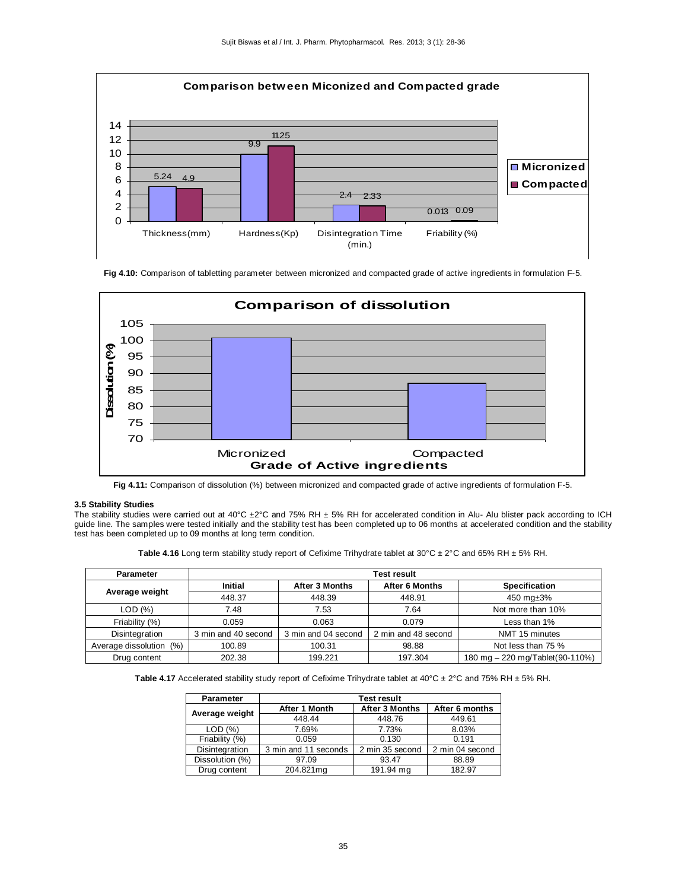

**Fig 4.10:** Comparison of tabletting parameter between micronized and compacted grade of active ingredients in formulation F-5.



**Fig 4.11:** Comparison of dissolution (%) between micronized and compacted grade of active ingredients of formulation F-5.

## **3.5 Stability Studies**

The stability studies were carried out at 40°C  $\pm$ 2°C and 75% RH  $\pm$  5% RH for accelerated condition in Alu- Alu blister pack according to ICH guide line. The samples were tested initially and the stability test has been completed up to 06 months at accelerated condition and the stability test has been completed up to 09 months at long term condition.

Table 4.16 Long term stability study report of Cefixime Trihydrate tablet at 30°C ± 2°C and 65% RH ± 5% RH.

| Parameter               |                     | <b>Test result</b>  |                     |                                 |  |  |  |
|-------------------------|---------------------|---------------------|---------------------|---------------------------------|--|--|--|
|                         | <b>Initial</b>      | After 3 Months      | After 6 Months      | Specification                   |  |  |  |
| Average weight          | 448.37              | 448.39              | 448.91              | 450 mg±3%                       |  |  |  |
| LOD(%)                  | 7.48                | 7.53                | 7.64                | Not more than 10%               |  |  |  |
| Friability (%)          | 0.059               | 0.063               | 0.079               | Less than 1%                    |  |  |  |
| Disintegration          | 3 min and 40 second | 3 min and 04 second | 2 min and 48 second | NMT 15 minutes                  |  |  |  |
| Average dissolution (%) | 100.89              | 100.31              | 98.88               | Not less than 75 %              |  |  |  |
| Drug content            | 202.38              | 199.221             | 197.304             | 180 mg – 220 mg/Tablet(90-110%) |  |  |  |

| <b>Table 4.17</b> Accelerated stability study report of Cefixime Trihydrate tablet at 40°C $\pm$ 2°C and 75% RH $\pm$ 5% RH. |  |  |  |
|------------------------------------------------------------------------------------------------------------------------------|--|--|--|
|------------------------------------------------------------------------------------------------------------------------------|--|--|--|

| <b>Parameter</b> | <b>Test result</b>   |                       |                 |  |  |
|------------------|----------------------|-----------------------|-----------------|--|--|
| Average weight   | After 1 Month        | <b>After 3 Months</b> | After 6 months  |  |  |
|                  | 448.44               | 448.76                | 449.61          |  |  |
| LOD(%)           | 7.69%                | 7.73%                 | 8.03%           |  |  |
| Friability (%)   | 0.059                | 0.130                 | 0.191           |  |  |
| Disintegration   | 3 min and 11 seconds | 2 min 35 second       | 2 min 04 second |  |  |
| Dissolution (%)  | 97.09                | 93.47                 | 88.89           |  |  |
| Drug content     | 204.821mg            | 191.94 mg             | 182.97          |  |  |